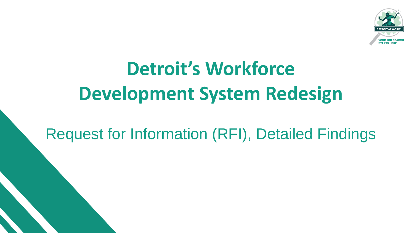

# **Detroit's Workforce Development System Redesign**

Request for Information (RFI), Detailed Findings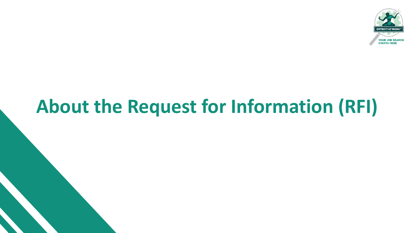

## **About the Request for Information (RFI)**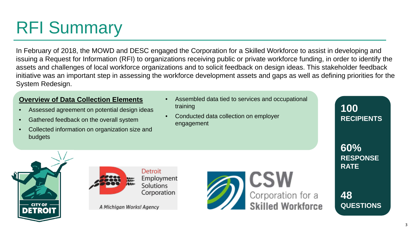## RFI Summary

In February of 2018, the MOWD and DESC engaged the Corporation for a Skilled Workforce to assist in developing and issuing a Request for Information (RFI) to organizations receiving public or private workforce funding, in order to identify the assets and challenges of local workforce organizations and to solicit feedback on design ideas. This stakeholder feedback initiative was an important step in assessing the workforce development assets and gaps as well as defining priorities for the System Redesign.

#### **Overview of Data Collection Elements**

- Assessed agreement on potential design ideas
- Gathered feedback on the overall system
- Collected information on organization size and budgets
- Assembled data tied to services and occupational training
- Conducted data collection on employer engagement





A Michigan Works! Agency



**100 RECIPIENTS** 

**60% RESPONSE RATE**

**48 QUESTIONS**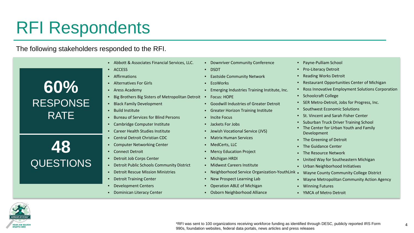## RFI Respondents

The following stakeholders responded to the RFI.

| 60%<br><b>RESPONSE</b><br><b>RATE</b> |
|---------------------------------------|
| 48<br><b>QUESTIONS</b>                |

- Abbott & Associates Financial Services, LLC.
- ACCESS
- Affirmations
- Alternatives For Girls
- Aress Academy
- Big Brothers Big Sisters of Metropolitan Detroit Focus: HOPE
- Black Family Development
- Build Institute
- Bureau of Services for Blind Persons
- Cambridge Computer Institute
- Career Health Studies Institute
- Central Detroit Christian CDC
- Computer Networking Center
- Connect Detroit
- Detroit Job Corps Center
- Detroit Public Schools Community District
- Detroit Rescue Mission Ministries
- Detroit Training Center
- Development Centers
- Dominican Literacy Center
- Downriver Community Conference
- DSDT
- Eastside Community Network
- EcoWorks
- Emerging Industries Training Institute, Inc.
- 
- Goodwill Industries of Greater Detroit
- Greater Horizon Training Institute
- Incite Focus
- Jackets For Jobs
- Jewish Vocational Service (JVS)
- Matrix Human Services
- MedCerts, LLC
- Mercy Education Project
- Michigan HRDI
- Midwest Careers Institute
- Neighborhood Service Organization-YouthLink •
- New Prospect Learning Lab
- Operation ABLE of Michigan
- Osborn Neighborhood Alliance
- Payne-Pulliam School
- Pro-Literacy Detroit
- Reading Works Detroit
- Restaurant Opportunities Center of Michigan
- Ross Innovative Employment Solutions Corporation
- Schoolcraft College
- SER Metro-Detroit, Jobs for Progress, Inc.
- Southwest Economic Solutions
- St. Vincent and Sarah Fisher Center
- Suburban Truck Driver Training School
- The Center for Urban Youth and Family Development
- The Greening of Detroit
- The Guidance Center
- The Resource Network
- United Way for Southeastern Michigan
- Urban Neighborhood Initiatives
- Wayne County Community College District
- Wayne Metropolitan Community Action Agency
- Winning Futures
- YMCA of Metro Detroit



\*RFI was sent to 100 organizations receiving workforce funding as identified through DESC, publicly reported IRS Form 990s, foundation websites, federal data portals, news articles and press releases.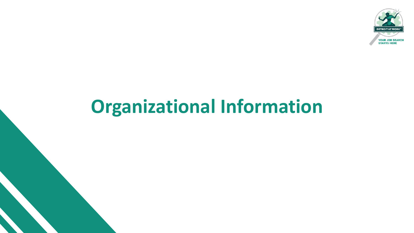

## **Organizational Information**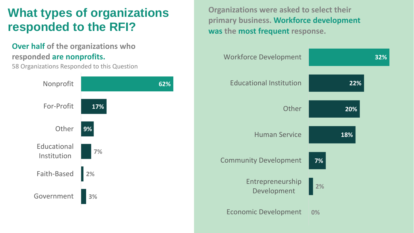## **What types of organizations responded to the RFI?**

#### **Over half of the organizations who responded are nonprofits.**

58 Organizations Responded to this Question

#### **3% 2% 7% 9% 17% 62%** Government Faith-Based Educational Institution **Other** For-Profit Nonprofit

**Organizations were asked to select their primary business. Workforce development was the most frequent response.**

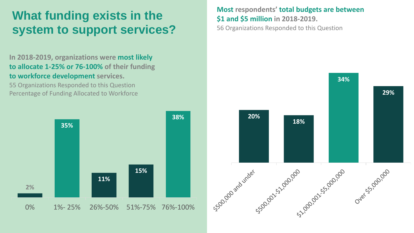### **What funding exists in the system to support services?**

**In 2018-2019, organizations were most likely to allocate 1-25% or 76-100% of their funding to workforce development services.** 

55 Organizations Responded to this Question Percentage of Funding Allocated to Workforce



#### **Most respondents' total budgets are between \$1 and \$5 million in 2018-2019.**

56 Organizations Responded to this Question

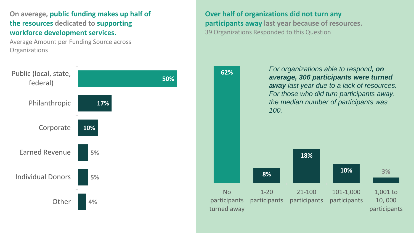**On average, public funding makes up half of the resources dedicated to supporting workforce development services.**

Average Amount per Funding Source across **Organizations** 



**Over half of organizations did not turn any participants away last year because of resources.**  39 Organizations Responded to this Question

> *For organizations able to respond, on average, 306 participants were turned away last year due to a lack of resources. For those who did turn participants away, the median number of participants was 100.*

**62%**

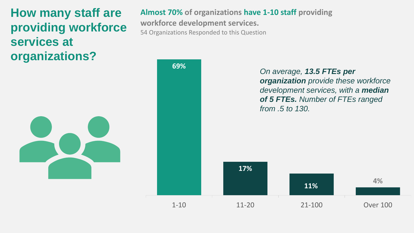## **How many staff are providing workforce services at organizations?**

#### **Almost 70% of organizations have 1-10 staff providing**

**workforce development services.**  54 Organizations Responded to this Question

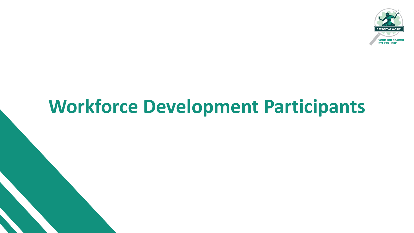

## **Workforce Development Participants**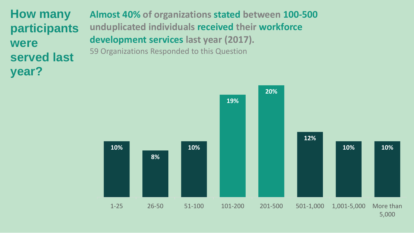**How many participants were served last year?**

**Almost 40% of organizations stated between 100-500 unduplicated individuals received their workforce development services last year (2017).** 59 Organizations Responded to this Question

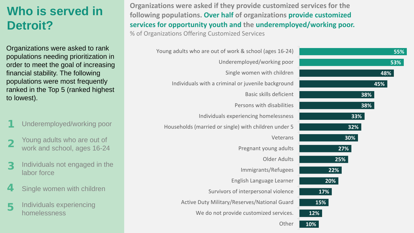## **Who is served in Detroit?**

Organizations were asked to rank populations needing prioritization in order to meet the goal of increasing financial stability. The following populations were most frequently ranked in the Top 5 (ranked highest to lowest).

- Underemployed/working poor 1
- Young adults who are out of work and school, ages 16-24 2
- Individuals not engaged in the labor force 3
- Single women with children 4
- Individuals experiencing homelessness 5

**Organizations were asked if they provide customized services for the following populations. Over half of organizations provide customized services for opportunity youth and the underemployed/working poor.** % of Organizations Offering Customized Services

| 55%        | Young adults who are out of work & school (ages 16-24) |
|------------|--------------------------------------------------------|
| 53%        | Underemployed/working poor                             |
| 48%        | Single women with children                             |
| 45%        | Individuals with a criminal or juvenile background     |
| 38%        | <b>Basic skills deficient</b>                          |
| 38%        | Persons with disabilities                              |
| 33%        | Individuals experiencing homelessness                  |
| 32%        | Households (married or single) with children under 5   |
| 30%        | Veterans                                               |
| 27%        | Pregnant young adults                                  |
| 25%        | <b>Older Adults</b>                                    |
| 22%        | Immigrants/Refugees                                    |
| 20%        | English Language Learner                               |
| <b>17%</b> | Survivors of interpersonal violence                    |
| 15%        | Active Duty Military/Reserves/National Guard           |
| 12%        | We do not provide customized services.                 |
| 10%        | Other                                                  |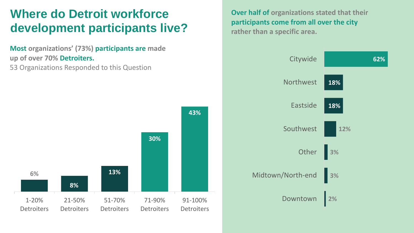## **Where do Detroit workforce development participants live?**

**Most organizations' (73%) participants are made up of over 70% Detroiters.** 53 Organizations Responded to this Question

**6% 8% 13% 30% 43%** 1-20% **Detroiters** 21-50% **Detroiters** 51-70% **Detroiters** 71-90% **Detroiters** 91-100% **Detroiters**  **Over half of organizations stated that their participants come from all over the city rather than a specific area.**

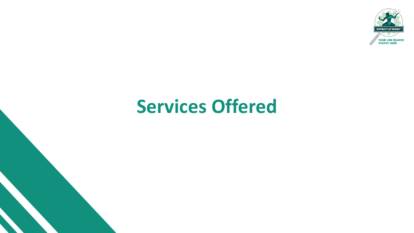

## **Services Offered**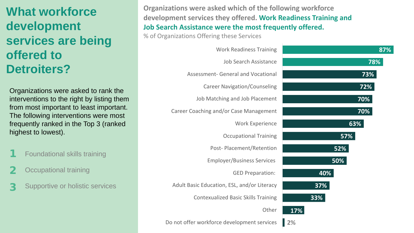## **What workforce development services are being offered to Detroiters?**

Organizations were asked to rank the interventions to the right by listing them from most important to least important. The following interventions were most frequently ranked in the Top 3 (ranked highest to lowest).

- Foundational skills training 1
- Occupational training 2
- Supportive or holistic services 3

**Organizations were asked which of the following workforce development services they offered. Work Readiness Training and Job Search Assistance were the most frequently offered.**

% of Organizations Offering these Services

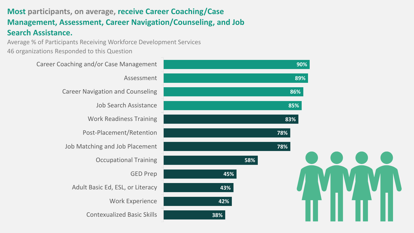#### **Most participants, on average, receive Career Coaching/Case Management, Assessment, Career Navigation/Counseling, and Job Search Assistance.**

Average % of Participants Receiving Workforce Development Services 46 organizations Responded to this Question

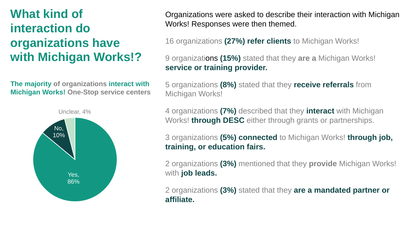## **What kind of interaction do organizations have with Michigan Works!?**

**The majority of organizations interact with Michigan Works! One-Stop service centers**



Organizations were asked to describe their interaction with Michigan Works! Responses were then themed.

16 organizations **(27%) refer clients** to Michigan Works!

9 organizations **(15%)** stated that they **are a** Michigan Works! **service or training provider.** 

5 organizations **(8%)** stated that they **receive referrals** from Michigan Works!

4 organizations **(7%)** described that they **interact** with Michigan Works! **through DESC** either through grants or partnerships.

3 organizations **(5%) connected** to Michigan Works! **through job, training, or education fairs.**

2 organizations **(3%)** mentioned that they **provide** Michigan Works! with **job leads.**

2 organizations **(3%)** stated that they **are a mandated partner or affiliate.**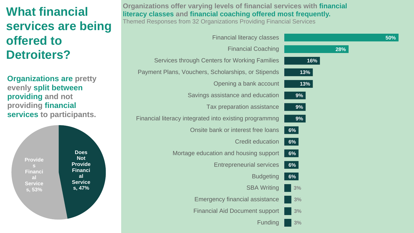## **What financial services are being offered to Detroiters?**

**Organizations are pretty evenly split between providing and not providing financial services to participants.**

**Provide**

**Financi al Service s, 53%**

**Does Not Provide Financi al Service s, 47%**

**Organizations offer varying levels of financial services with financial literacy classes and financial coaching offered most frequently.** 

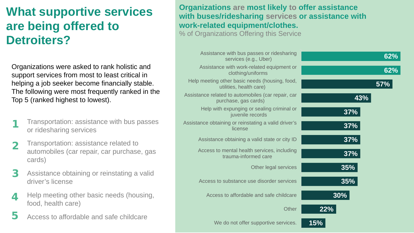## **What supportive services are being offered to Detroiters?**

Organizations were asked to rank holistic and support services from most to least critical in helping a job seeker become financially stable. The following were most frequently ranked in the Top 5 (ranked highest to lowest).

- Transportation: assistance with bus passes or ridesharing services 1
- Transportation: assistance related to automobiles (car repair, car purchase, gas cards) 2
- Assistance obtaining or reinstating a valid driver's license 3
- Help meeting other basic needs (housing, food, health care) 4
- Access to affordable and safe childcare 5

#### **Organizations are most likely to offer assistance with buses/ridesharing services or assistance with work-related equipment/clothes.**

% of Organizations Offering this Service

| 62%    | Assistance with bus passes or ridesharing<br>services (e.g., Uber)         |
|--------|----------------------------------------------------------------------------|
| 62%    | Assistance with work-related equipment or<br>clothing/uniforms             |
| 57%    | Help meeting other basic needs (housing, food,<br>utilities, health care)  |
| 43%    | Assistance related to automobiles (car repair, car<br>purchase, gas cards) |
| 37%    | Help with expunging or sealing criminal or<br>juvenile records             |
| 37%    | Assistance obtaining or reinstating a valid driver's<br>license            |
| 37%    | Assistance obtaining a valid state or city ID                              |
| 37%    | Access to mental health services, including<br>trauma-informed care        |
| 35%    | Other legal services                                                       |
| 35%    | Access to substance use disorder services                                  |
| $30\%$ | Access to affordable and safe childcare                                    |
| 22%    | <b>Other</b>                                                               |
| 15%    | We do not offer supportive services.                                       |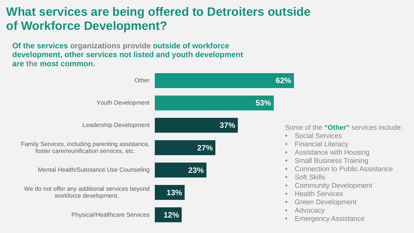### **What services are being offered to Detroiters outside of Workforce Development?**

**Of the services organizations provide outside of workforce development, other services not listed and youth development are the most common.**

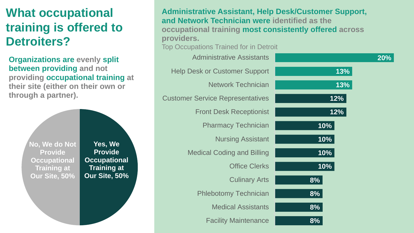## **What occupational training is offered to Detroiters?**

**Organizations are evenly split between providing and not providing occupational training at their site (either on their own or through a partner).**

> **No, We do Not Provide Occupational Training at Our Site, 50%**

**Yes, We Provide Occupational Training at Our Site, 50%**

| <b>Administrative Assistant, Help Desk/Customer Support,</b><br>and Network Technician were identified as the<br>occupational training most consistently offered across<br>providers.<br><b>Top Occupations Trained for in Detroit</b> |     |
|----------------------------------------------------------------------------------------------------------------------------------------------------------------------------------------------------------------------------------------|-----|
| <b>Administrative Assistants</b>                                                                                                                                                                                                       | 20% |
| <b>Help Desk or Customer Support</b>                                                                                                                                                                                                   | 13% |
| <b>Network Technician</b>                                                                                                                                                                                                              | 13% |
| <b>Customer Service Representatives</b>                                                                                                                                                                                                | 12% |
| <b>Front Desk Receptionist</b>                                                                                                                                                                                                         | 12% |
| <b>Pharmacy Technician</b>                                                                                                                                                                                                             | 10% |
| <b>Nursing Assistant</b>                                                                                                                                                                                                               | 10% |
| <b>Medical Coding and Billing</b>                                                                                                                                                                                                      | 10% |
| <b>Office Clerks</b>                                                                                                                                                                                                                   | 10% |
| <b>Culinary Arts</b>                                                                                                                                                                                                                   | 8%  |
| <b>Phlebotomy Technician</b>                                                                                                                                                                                                           | 8%  |
| <b>Medical Assistants</b>                                                                                                                                                                                                              | 8%  |
| <b>Facility Maintenance</b>                                                                                                                                                                                                            | 8%  |
|                                                                                                                                                                                                                                        |     |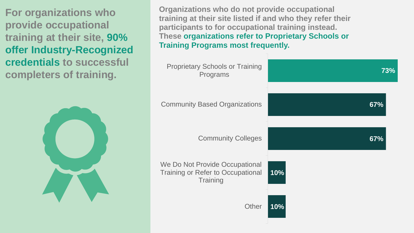**For organizations who provide occupational training at their site, 90% offer Industry-Recognized credentials to successful completers of training.**



**Organizations who do not provide occupational training at their site listed if and who they refer their participants to for occupational training instead. These organizations refer to Proprietary Schools or Training Programs most frequently.**

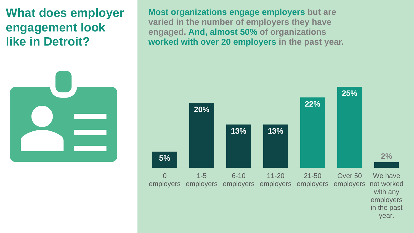### **What does employer engagement look like in Detroit?**



**Most organizations engage employers but are varied in the number of employers they have engaged. And, almost 50% of organizations worked with over 20 employers in the past year.**

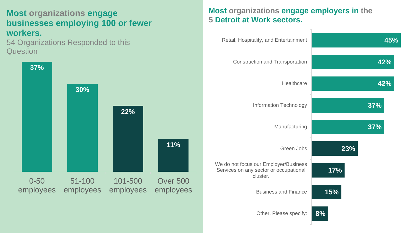#### **Most organizations engage businesses employing 100 or fewer workers.**

54 Organizations Responded to this **Question** 



#### **Most organizations engage employers in the 5 Detroit at Work sectors.**

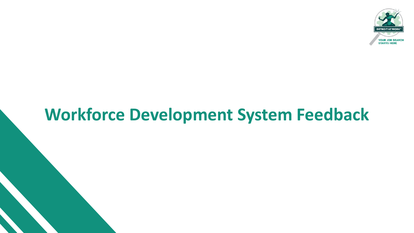

## **Workforce Development System Feedback**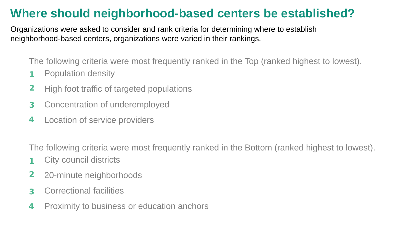### **Where should neighborhood-based centers be established?**

Organizations were asked to consider and rank criteria for determining where to establish neighborhood-based centers, organizations were varied in their rankings.

The following criteria were most frequently ranked in the Top (ranked highest to lowest).

- Population density 1
- High foot traffic of targeted populations 2
- Concentration of underemployed 3
- Location of service providers 4

The following criteria were most frequently ranked in the Bottom (ranked highest to lowest).

- City council districts 1
- 20-minute neighborhoods 2
- Correctional facilities 3
- Proximity to business or education anchors 4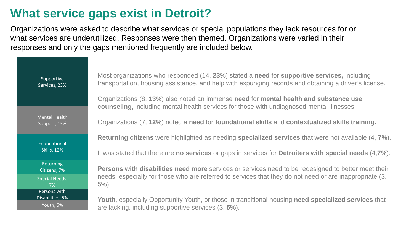## **What service gaps exist in Detroit?**

Organizations were asked to describe what services or special populations they lack resources for or what services are underutilized. Responses were then themed. Organizations were varied in their responses and only the gaps mentioned frequently are included below.

| Supportive<br>Services, 23%                   | Most organizations who responded (14, 23%) stated a need for supportive services, including<br>transportation, housing assistance, and help with expunging records and obtaining a driver's license. |
|-----------------------------------------------|------------------------------------------------------------------------------------------------------------------------------------------------------------------------------------------------------|
|                                               | Organizations (8, 13%) also noted an immense need for mental health and substance use<br>counseling, including mental health services for those with undiagnosed mental illnesses.                   |
| <b>Mental Health</b><br>Support, 13%          | Organizations (7, 12%) noted a need for foundational skills and contextualized skills training.                                                                                                      |
| Foundational<br><b>Skills, 12%</b>            | Returning citizens were highlighted as needing specialized services that were not available (4, 7%).                                                                                                 |
|                                               | It was stated that there are no services or gaps in services for Detroiters with special needs (4,7%).                                                                                               |
| Returning<br>Citizens, 7%                     | <b>Persons with disabilities need more</b> services or services need to be redesigned to better meet their                                                                                           |
| <b>Special Needs,</b><br>7%                   | needs, especially for those who are referred to services that they do not need or are inappropriate (3,<br>$5\%$ ).                                                                                  |
| Persons with<br>Disabilities, 5%<br>Youth, 5% | Youth, especially Opportunity Youth, or those in transitional housing need specialized services that<br>are lacking, including supportive services (3, 5%).                                          |
|                                               |                                                                                                                                                                                                      |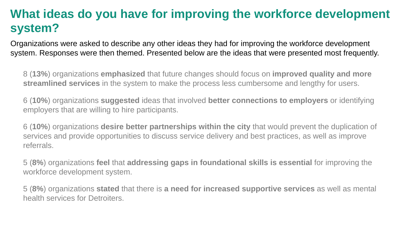### **What ideas do you have for improving the workforce development system?**

Organizations were asked to describe any other ideas they had for improving the workforce development system. Responses were then themed. Presented below are the ideas that were presented most frequently.

8 (**13%**) organizations **emphasized** that future changes should focus on **improved quality and more streamlined services** in the system to make the process less cumbersome and lengthy for users.

6 (**10%**) organizations **suggested** ideas that involved **better connections to employers** or identifying employers that are willing to hire participants.

6 (**10%**) organizations **desire better partnerships within the city** that would prevent the duplication of services and provide opportunities to discuss service delivery and best practices, as well as improve referrals.

5 (**8%**) organizations **feel** that **addressing gaps in foundational skills is essential** for improving the workforce development system.

5 (**8%**) organizations **stated** that there is **a need for increased supportive services** as well as mental health services for Detroiters.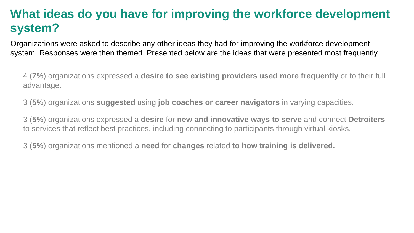## **What ideas do you have for improving the workforce development system?**

Organizations were asked to describe any other ideas they had for improving the workforce development system. Responses were then themed. Presented below are the ideas that were presented most frequently.

4 (**7%**) organizations expressed a **desire to see existing providers used more frequently** or to their full advantage.

3 (**5%**) organizations **suggested** using **job coaches or career navigators** in varying capacities.

3 (**5%**) organizations expressed a **desire** for **new and innovative ways to serve** and connect **Detroiters** to services that reflect best practices, including connecting to participants through virtual kiosks.

3 (**5%**) organizations mentioned a **need** for **changes** related **to how training is delivered.**